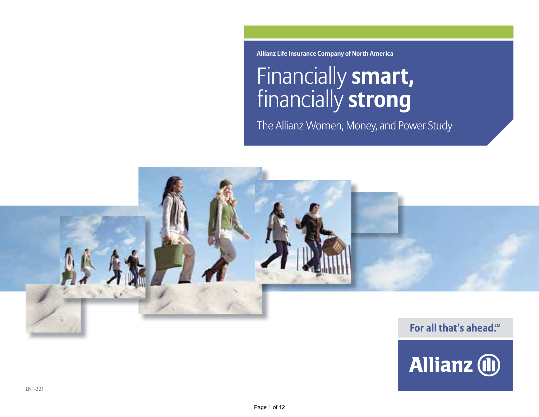**Allianz Life Insurance Company of North America**

## Financially **smart,**  financially **strong**

The Allianz Women, Money, and Power Study



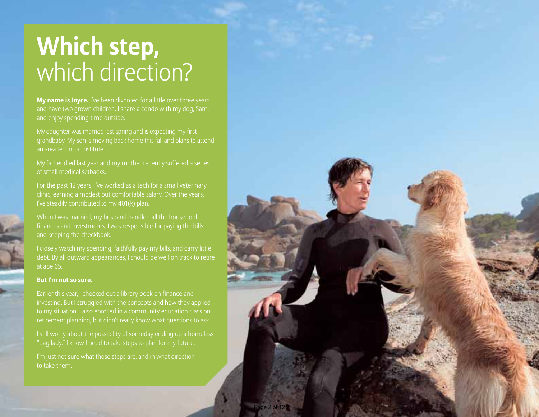# **Which step,**  which direction?

**My name is Joyce.** I've been divorced for a little over three years and have two grown children. I share a condo with my dog, Sam, and enjoy spending time outside.

My daughter was married last spring and is expecting my first an area technical institute.

My father died last year and my mother recently suffered a series of small medical setbacks.

For the past 12 years, I've worked as a tech for a small veterinary clinic, earning a modest but comfortable salary. Over the years, I've steadily contributed to my 401(k) plan.

When I was married, my husband handled all the household finances and investments. I was responsible for paying the bills

debt. By all outward appearances, I should be well on track to retire

#### **But I'm not so sure.**

Earlier this year, I checked out a library book on finance and investing. But I struggled with the concepts and how they applied to my situation. I also enrolled in a community education class on retirement planning, but didn't really know what questions to ask.

I still worry about the possibility of someday ending up a homeless "bag lady." I know I need to take steps to plan for my future.

Page 2 of 12

I'm just not sure what those steps are, and in what direction to take them.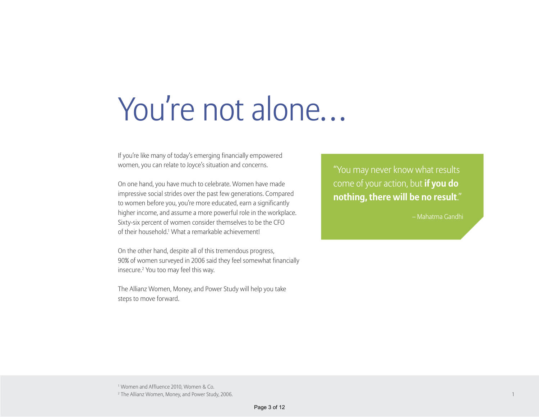# You're not alone…

If you're like many of today's emerging financially empowered women, you can relate to Joyce's situation and concerns.

On one hand, you have much to celebrate. Women have made impressive social strides over the past few generations. Compared to women before you, you're more educated, earn a significantly higher income, and assume a more powerful role in the workplace. Sixty-six percent of women consider themselves to be the CFO of their household.<sup>1</sup> What a remarkable achievement!

On the other hand, despite all of this tremendous progress, 90% of women surveyed in 2006 said they feel somewhat financially insecure.2 You too may feel this way.

The Allianz Women, Money, and Power Study will help you take steps to move forward.

"You may never know what results come of your action, but **if you do nothing, there will be no result**."

– Mahatma Gandhi

2 The Allianz Women, Money, and Power Study, 2006. 1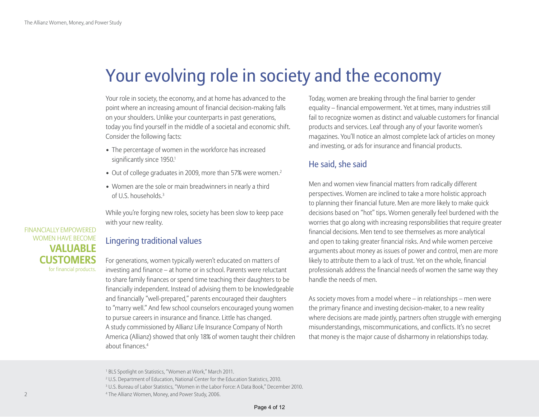### Your evolving role in society and the economy

Your role in society, the economy, and at home has advanced to the point where an increasing amount of financial decision-making falls on your shoulders. Unlike your counterparts in past generations, today you find yourself in the middle of a societal and economic shift. Consider the following facts:

- The percentage of women in the workforce has increased significantly since 1950.<sup>1</sup>
- Out of college graduates in 2009, more than 57% were women.<sup>2</sup>
- Women are the sole or main breadwinners in nearly a third of U.S. households.3

While you're forging new roles, society has been slow to keep pace with your new reality.

FINANCIALLY EMPOWERED WOMEN HAVE BECOME **VALUABLE CUSTOMERS**  for financial products.

#### Lingering traditional values

For generations, women typically weren't educated on matters of investing and finance – at home or in school. Parents were reluctant to share family finances or spend time teaching their daughters to be financially independent. Instead of advising them to be knowledgeable and financially "well-prepared," parents encouraged their daughters to "marry well." And few school counselors encouraged young women to pursue careers in insurance and finance. Little has changed. A study commissioned by Allianz Life Insurance Company of North America (Allianz) showed that only 18% of women taught their children about finances.4

Today, women are breaking through the final barrier to gender equality – financial empowerment. Yet at times, many industries still fail to recognize women as distinct and valuable customers for financial products and services. Leaf through any of your favorite women's magazines. You'll notice an almost complete lack of articles on money and investing, or ads for insurance and financial products.

#### He said, she said

Men and women view financial matters from radically different perspectives. Women are inclined to take a more holistic approach to planning their financial future. Men are more likely to make quick decisions based on "hot" tips. Women generally feel burdened with the worries that go along with increasing responsibilities that require greater financial decisions. Men tend to see themselves as more analytical and open to taking greater financial risks. And while women perceive arguments about money as issues of power and control, men are more likely to attribute them to a lack of trust. Yet on the whole, financial professionals address the financial needs of women the same way they handle the needs of men.

As society moves from a model where – in relationships – men were the primary finance and investing decision-maker, to a new reality where decisions are made jointly, partners often struggle with emerging misunderstandings, miscommunications, and conflicts. It's no secret that money is the major cause of disharmony in relationships today.

- <sup>3</sup> U.S. Bureau of Labor Statistics, "Women in the Labor Force: A Data Book," December 2010.
- 4 The Allianz Women, Money, and Power Study, 2006.

<sup>1</sup> BLS Spotlight on Statistics, "Women at Work," March 2011.

<sup>2</sup> U.S. Department of Education, National Center for the Education Statistics, 2010.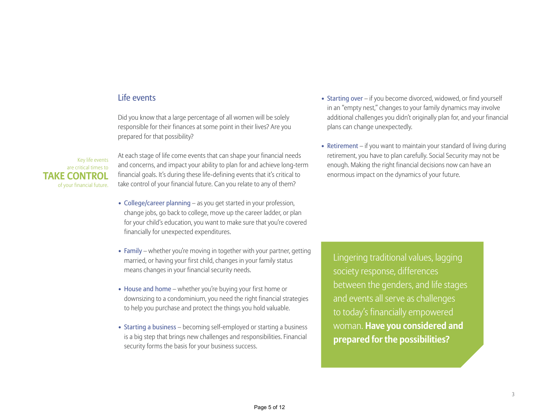#### Life events

Did you know that a large percentage of all women will be solely responsible for their finances at some point in their lives? Are you prepared for that possibility?

 Key life events are critical times to **TAKE CONTROL**  of your financial future. At each stage of life come events that can shape your financial needs and concerns, and impact your ability to plan for and achieve long-term financial goals. It's during these life-defining events that it's critical to take control of your financial future. Can you relate to any of them?

- College/career planning as you get started in your profession, change jobs, go back to college, move up the career ladder, or plan for your child's education, you want to make sure that you're covered financially for unexpected expenditures.
- Family whether you're moving in together with your partner, getting married, or having your first child, changes in your family status means changes in your financial security needs.
- House and home whether you're buying your first home or downsizing to a condominium, you need the right financial strategies to help you purchase and protect the things you hold valuable.
- Starting a business becoming self-employed or starting a business is a big step that brings new challenges and responsibilities. Financial security forms the basis for your business success.
- Starting over if you become divorced, widowed, or find yourself in an "empty nest," changes to your family dynamics may involve additional challenges you didn't originally plan for, and your financial plans can change unexpectedly.
- Retirement if you want to maintain your standard of living during retirement, you have to plan carefully. Social Security may not be enough. Making the right financial decisions now can have an enormous impact on the dynamics of your future.

Lingering traditional values, lagging society response, differences between the genders, and life stages and events all serve as challenges to today's financially empowered woman. **Have you considered and prepared for the possibilities?**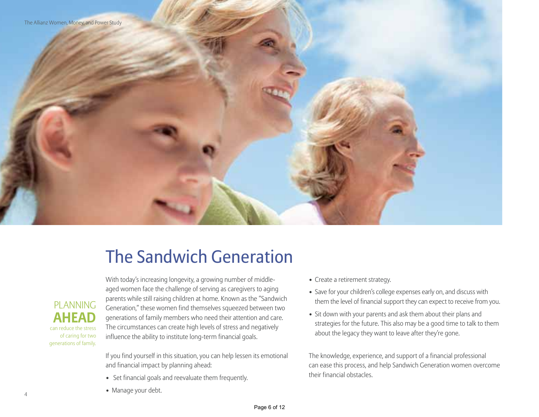

 PLANNING **AHEAD** can reduce the stress of caring for two generations of family.

With today's increasing longevity, a growing number of middleaged women face the challenge of serving as caregivers to aging parents while still raising children at home. Known as the "Sandwich Generation," these women find themselves squeezed between two generations of family members who need their attention and care. The circumstances can create high levels of stress and negatively influence the ability to institute long-term financial goals.

If you find yourself in this situation, you can help lessen its emotional and financial impact by planning ahead:

- Set financial goals and reevaluate them frequently.
- Manage your debt.
- Create a retirement strategy.
- Save for your children's college expenses early on, and discuss with them the level of financial support they can expect to receive from you.
- Sit down with your parents and ask them about their plans and strategies for the future. This also may be a good time to talk to them about the legacy they want to leave after they're gone.

The knowledge, experience, and support of a financial professional can ease this process, and help Sandwich Generation women overcome their financial obstacles.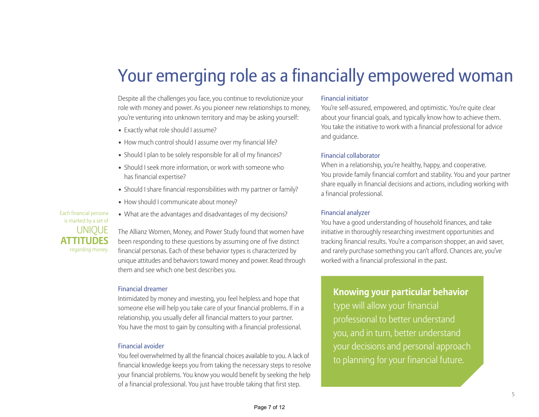### Your emerging role as a financially empowered woman

Despite all the challenges you face, you continue to revolutionize your role with money and power. As you pioneer new relationships to money, you're venturing into unknown territory and may be asking yourself:

- Exactly what role should I assume?
- How much control should I assume over my financial life?
- Should I plan to be solely responsible for all of my finances?
- Should I seek more information, or work with someone who has financial expertise?
- Should I share financial responsibilities with my partner or family?
- How should I communicate about money?
- What are the advantages and disadvantages of my decisions?

Each financial persona is marked by a set of UNIQUE **ATTITUDES** regarding money.

The Allianz Women, Money, and Power Study found that women have been responding to these questions by assuming one of five distinct financial personas. Each of these behavior types is characterized by unique attitudes and behaviors toward money and power. Read through them and see which one best describes you.

#### Financial dreamer

Intimidated by money and investing, you feel helpless and hope that someone else will help you take care of your financial problems. If in a relationship, you usually defer all financial matters to your partner. You have the most to gain by consulting with a financial professional.

#### Financial avoider

You feel overwhelmed by all the financial choices available to you. A lack of financial knowledge keeps you from taking the necessary steps to resolve your financial problems. You know you would benefit by seeking the help of a financial professional. You just have trouble taking that first step.

#### Financial initiator

You're self-assured, empowered, and optimistic. You're quite clear about your financial goals, and typically know how to achieve them. You take the initiative to work with a financial professional for advice and guidance.

#### Financial collaborator

When in a relationship, you're healthy, happy, and cooperative. You provide family financial comfort and stability. You and your partner share equally in financial decisions and actions, including working with a financial professional.

#### Financial analyzer

You have a good understanding of household finances, and take initiative in thoroughly researching investment opportunities and tracking financial results. You're a comparison shopper, an avid saver, and rarely purchase something you can't afford. Chances are, you've worked with a financial professional in the past.

#### **Knowing your particular behavior**

type will allow your financial professional to better understand you, and in turn, better understand your decisions and personal approach to planning for your financial future.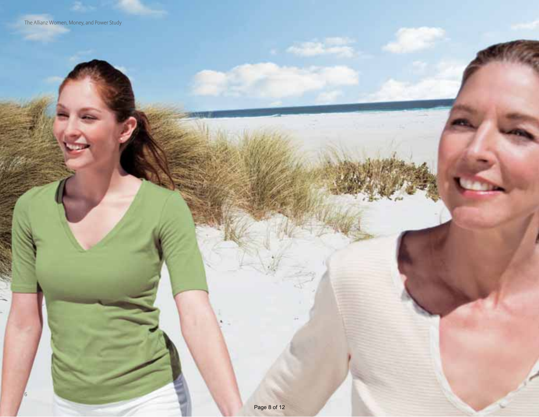6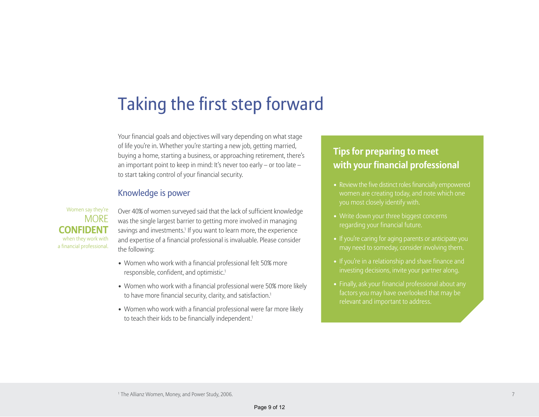## Taking the first step forward

Your financial goals and objectives will vary depending on what stage of life you're in. Whether you're starting a new job, getting married, buying a home, starting a business, or approaching retirement, there's an important point to keep in mind: It's never too early – or too late – to start taking control of your financial security.

#### Knowledge is power

Women say they're **MORE CONFIDENT** when they work with a financial professional.

Over 40% of women surveyed said that the lack of sufficient knowledge was the single largest barrier to getting more involved in managing savings and investments.<sup>1</sup> If you want to learn more, the experience and expertise of a financial professional is invaluable. Please consider the following:

- Women who work with a financial professional felt 50% more responsible, confident, and optimistic.1
- Women who work with a financial professional were 50% more likely to have more financial security, clarity, and satisfaction.<sup>1</sup>
- Women who work with a financial professional were far more likely to teach their kids to be financially independent.<sup>1</sup>

#### **Tips for preparing to meet with your financial professional**

- Review the five distinct roles financially empowered women are creating today, and note which one
- Write down your three biggest concerns
- If you're caring for aging parents or anticipate you may need to someday, consider involving them.
- investing decisions, invite your partner along.
- Finally, ask your financial professional about any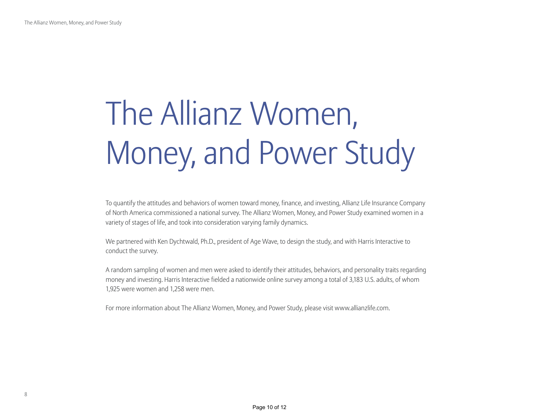# The Allianz Women, Money, and Power Study

To quantify the attitudes and behaviors of women toward money, finance, and investing, Allianz Life Insurance Company of North America commissioned a national survey. The Allianz Women, Money, and Power Study examined women in a variety of stages of life, and took into consideration varying family dynamics.

We partnered with Ken Dychtwald, Ph.D., president of Age Wave, to design the study, and with Harris Interactive to conduct the survey.

A random sampling of women and men were asked to identify their attitudes, behaviors, and personality traits regarding money and investing. Harris Interactive fielded a nationwide online survey among a total of 3,183 U.S. adults, of whom 1,925 were women and 1,258 were men.

For more information about The Allianz Women, Money, and Power Study, please visit www.allianzlife.com.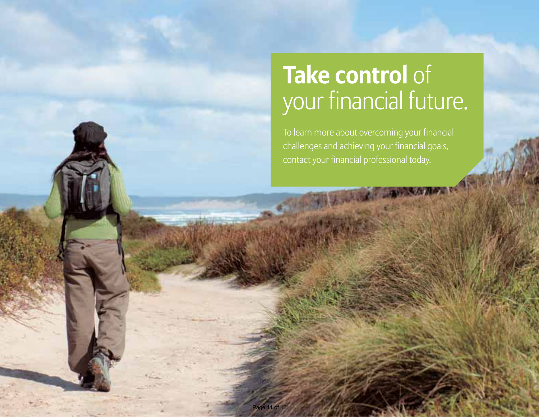# **Take control** of your financial future.

To learn more about overcoming your financial challenges and achieving your financial goals, contact your financial professional today.

Page 11 of 12